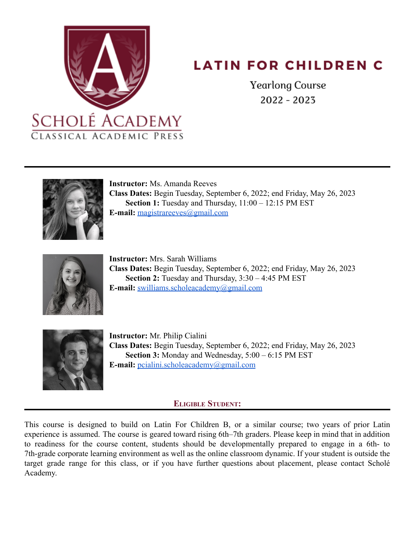

# **LATIN FOR CHILDREN C**

**Yearlong Course**  $2022 - 2023$ 



**Instructor:** Ms. Amanda Reeves **Class Dates:** Begin Tuesday, September 6, 2022; end Friday, May 26, 2023 Section 1: Tuesday and Thursday,  $11:00 - 12:15$  PM EST **E-mail:** [magistrareeves@gmail.com](mailto:magistrareeves@gmail.com)



**Instructor:** Mrs. Sarah Williams **Class Dates:** Begin Tuesday, September 6, 2022; end Friday, May 26, 2023 **Section 2:** Tuesday and Thursday, 3:30 – 4:45 PM EST **E-mail:** [swilliams.scholeacademy@gmail.com](mailto:swilliams.scholeacademy@gmail.com)



**Instructor:** Mr. Philip Cialini **Class Dates:** Begin Tuesday, September 6, 2022; end Friday, May 26, 2023 **Section 3:** Monday and Wednesday, 5:00 – 6:15 PM EST **E-mail:** [pcialini.scholeacademy@gmail.com](mailto:pcialini.scholeacademy@gmail.com)

# **ELIGIBLE STUDENT:**

This course is designed to build on Latin For Children B, or a similar course; two years of prior Latin experience is assumed. The course is geared toward rising 6th–7th graders. Please keep in mind that in addition to readiness for the course content, students should be developmentally prepared to engage in a 6th- to 7th-grade corporate learning environment as well as the online classroom dynamic. If your student is outside the target grade range for this class, or if you have further questions about placement, please contact Scholé Academy.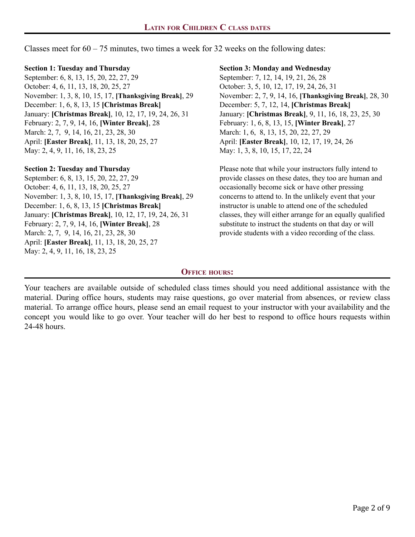Classes meet for  $60 - 75$  minutes, two times a week for 32 weeks on the following dates:

#### **Section 1: Tuesday and Thursday**

September: 6, 8, 13, 15, 20, 22, 27, 29 October: 4, 6, 11, 13, 18, 20, 25, 27 November: 1, 3, 8, 10, 15, 17, **[Thanksgiving Break]**, 29 December: 1, 6, 8, 13, 15 **[Christmas Break]** January: **[Christmas Break]**, 10, 12, 17, 19, 24, 26, 31 February: 2, 7, 9, 14, 16, **[Winter Break]**, 28 March: 2, 7, 9, 14, 16, 21, 23, 28, 30 April: **[Easter Break]**, 11, 13, 18, 20, 25, 27 May: 2, 4, 9, 11, 16, 18, 23, 25

## **Section 2: Tuesday and Thursday**

September: 6, 8, 13, 15, 20, 22, 27, 29 October: 4, 6, 11, 13, 18, 20, 25, 27 November: 1, 3, 8, 10, 15, 17, **[Thanksgiving Break]**, 29 December: 1, 6, 8, 13, 15 **[Christmas Break]** January: **[Christmas Break]**, 10, 12, 17, 19, 24, 26, 31 February: 2, 7, 9, 14, 16, **[Winter Break]**, 28 March: 2, 7, 9, 14, 16, 21, 23, 28, 30 April: **[Easter Break]**, 11, 13, 18, 20, 25, 27 May: 2, 4, 9, 11, 16, 18, 23, 25

# **Section 3: Monday and Wednesday**

September: 7, 12, 14, 19, 21, 26, 28 October: 3, 5, 10, 12, 17, 19, 24, 26, 31 November: 2, 7, 9, 14, 16, **[Thanksgiving Break]**, 28, 30 December: 5, 7, 12, 14, **[Christmas Break]** January: **[Christmas Break]**, 9, 11, 16, 18, 23, 25, 30 February: 1, 6, 8, 13, 15, **[Winter Break]**, 27 March: 1, 6, 8, 13, 15, 20, 22, 27, 29 April: **[Easter Break]**, 10, 12, 17, 19, 24, 26 May: 1, 3, 8, 10, 15, 17, 22, 24

Please note that while your instructors fully intend to provide classes on these dates, they too are human and occasionally become sick or have other pressing concerns to attend to. In the unlikely event that your instructor is unable to attend one of the scheduled classes, they will either arrange for an equally qualified substitute to instruct the students on that day or will provide students with a video recording of the class.

# **OFFICE HOURS:**

Your teachers are available outside of scheduled class times should you need additional assistance with the material. During office hours, students may raise questions, go over material from absences, or review class material. To arrange office hours, please send an email request to your instructor with your availability and the concept you would like to go over. Your teacher will do her best to respond to office hours requests within 24-48 hours.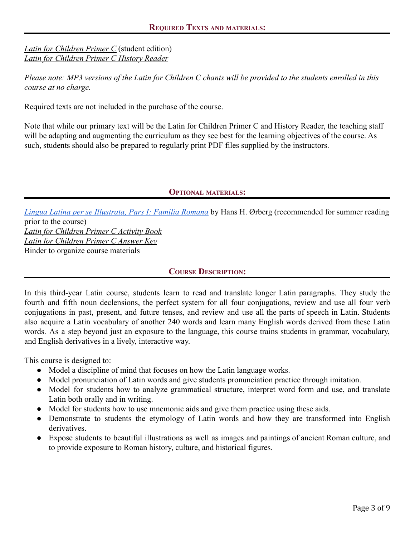*[Latin for Children Primer C](http://classicalacademicpress.com/latin-for-children-primer-c/)* (student edition) *[Latin for Children Primer C History Reader](http://classicalacademicpress.com/latin-for-children-primer-c-history-reader/)*

*Please note: MP3 versions of the Latin for Children C chants will be provided to the students enrolled in this course at no charge.*

Required texts are not included in the purchase of the course.

Note that while our primary text will be the Latin for Children Primer C and History Reader, the teaching staff will be adapting and augmenting the curriculum as they see best for the learning objectives of the course. As such, students should also be prepared to regularly print PDF files supplied by the instructors.

## **OPTIONAL MATERIALS:**

*[Lingua Latina per se Illustrata, Pars I: Familia Romana](https://www.amazon.com/Lingua-Latina-Illustrata-Pars-Familia/dp/1585104205/ref=sr_1_1?crid=3BPDU36VRWNBF&keywords=lingua+latina+per+se+illustrata&qid=1580852452&sprefix=lingua+latina%2Caps%2C244&sr=8-1)* by Hans H. Ørberg (recommended for summer reading prior to the course) *[Latin for Children Primer C Activity Book](http://classicalacademicpress.com/latin-for-children-primer-c-activity-book/) [Latin for Children Primer C Answer Key](http://classicalacademicpress.com/latin-for-children-primer-c-answer-key)*

Binder to organize course materials

# **COURSE DESCRIPTION:**

In this third-year Latin course, students learn to read and translate longer Latin paragraphs. They study the fourth and fifth noun declensions, the perfect system for all four conjugations, review and use all four verb conjugations in past, present, and future tenses, and review and use all the parts of speech in Latin. Students also acquire a Latin vocabulary of another 240 words and learn many English words derived from these Latin words. As a step beyond just an exposure to the language, this course trains students in grammar, vocabulary, and English derivatives in a lively, interactive way.

This course is designed to:

- Model a discipline of mind that focuses on how the Latin language works.
- Model pronunciation of Latin words and give students pronunciation practice through imitation.
- Model for students how to analyze grammatical structure, interpret word form and use, and translate Latin both orally and in writing.
- Model for students how to use mnemonic aids and give them practice using these aids.
- Demonstrate to students the etymology of Latin words and how they are transformed into English derivatives.
- Expose students to beautiful illustrations as well as images and paintings of ancient Roman culture, and to provide exposure to Roman history, culture, and historical figures.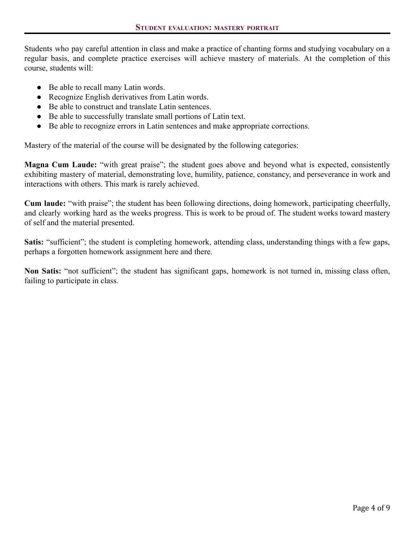Students who pay careful attention in class and make a practice of chanting forms and studying vocabulary on a regular basis, and complete practice exercises will achieve mastery of materials. At the completion of this course, students will:

- Be able to recall many Latin words.
- Recognize English derivatives from Latin words.
- Be able to construct and translate Latin sentences.
- Be able to successfully translate small portions of Latin text.
- Be able to recognize errors in Latin sentences and make appropriate corrections.

Mastery of the material of the course will be designated by the following categories:

**Magna Cum Laude:** "with great praise"; the student goes above and beyond what is expected, consistently exhibiting mastery of material, demonstrating love, humility, patience, constancy, and perseverance in work and interactions with others. This mark is rarely achieved.

**Cum laude:** "with praise"; the student has been following directions, doing homework, participating cheerfully, and clearly working hard as the weeks progress. This is work to be proud of. The student works toward mastery of self and the material presented.

**Satis:** "sufficient"; the student is completing homework, attending class, understanding things with a few gaps, perhaps a forgotten homework assignment here and there.

**Non Satis:** "not sufficient"; the student has significant gaps, homework is not turned in, missing class often, failing to participate in class.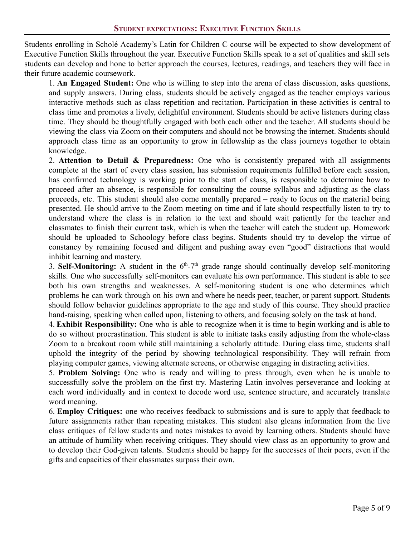Students enrolling in Scholé Academy's Latin for Children C course will be expected to show development of Executive Function Skills throughout the year. Executive Function Skills speak to a set of qualities and skill sets students can develop and hone to better approach the courses, lectures, readings, and teachers they will face in their future academic coursework.

1. **An Engaged Student:** One who is willing to step into the arena of class discussion, asks questions, and supply answers. During class, students should be actively engaged as the teacher employs various interactive methods such as class repetition and recitation. Participation in these activities is central to class time and promotes a lively, delightful environment. Students should be active listeners during class time. They should be thoughtfully engaged with both each other and the teacher. All students should be viewing the class via Zoom on their computers and should not be browsing the internet. Students should approach class time as an opportunity to grow in fellowship as the class journeys together to obtain knowledge.

2. **Attention to Detail & Preparedness:** One who is consistently prepared with all assignments complete at the start of every class session, has submission requirements fulfilled before each session, has confirmed technology is working prior to the start of class, is responsible to determine how to proceed after an absence, is responsible for consulting the course syllabus and adjusting as the class proceeds, etc. This student should also come mentally prepared – ready to focus on the material being presented. He should arrive to the Zoom meeting on time and if late should respectfully listen to try to understand where the class is in relation to the text and should wait patiently for the teacher and classmates to finish their current task, which is when the teacher will catch the student up. Homework should be uploaded to Schoology before class begins. Students should try to develop the virtue of constancy by remaining focused and diligent and pushing away even "good" distractions that would inhibit learning and mastery.

3. Self-Monitoring: A student in the  $6<sup>th</sup> - 7<sup>th</sup>$  grade range should continually develop self-monitoring skills. One who successfully self-monitors can evaluate his own performance. This student is able to see both his own strengths and weaknesses. A self-monitoring student is one who determines which problems he can work through on his own and where he needs peer, teacher, or parent support. Students should follow behavior guidelines appropriate to the age and study of this course. They should practice hand-raising, speaking when called upon, listening to others, and focusing solely on the task at hand.

4. **Exhibit Responsibility:** One who is able to recognize when it is time to begin working and is able to do so without procrastination. This student is able to initiate tasks easily adjusting from the whole-class Zoom to a breakout room while still maintaining a scholarly attitude. During class time, students shall uphold the integrity of the period by showing technological responsibility. They will refrain from playing computer games, viewing alternate screens, or otherwise engaging in distracting activities.

5. **Problem Solving:** One who is ready and willing to press through, even when he is unable to successfully solve the problem on the first try. Mastering Latin involves perseverance and looking at each word individually and in context to decode word use, sentence structure, and accurately translate word meaning.

6. **Employ Critiques:** one who receives feedback to submissions and is sure to apply that feedback to future assignments rather than repeating mistakes. This student also gleans information from the live class critiques of fellow students and notes mistakes to avoid by learning others. Students should have an attitude of humility when receiving critiques. They should view class as an opportunity to grow and to develop their God-given talents. Students should be happy for the successes of their peers, even if the gifts and capacities of their classmates surpass their own.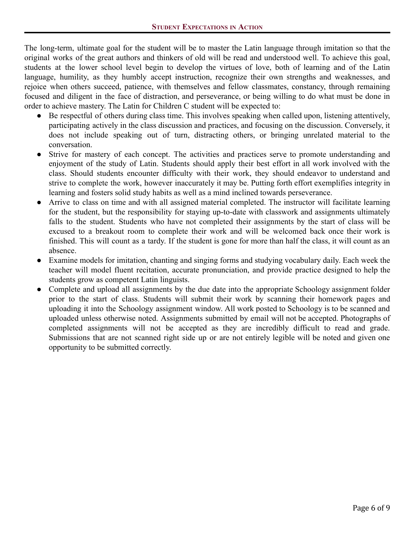The long-term, ultimate goal for the student will be to master the Latin language through imitation so that the original works of the great authors and thinkers of old will be read and understood well. To achieve this goal, students at the lower school level begin to develop the virtues of love, both of learning and of the Latin language, humility, as they humbly accept instruction, recognize their own strengths and weaknesses, and rejoice when others succeed, patience, with themselves and fellow classmates, constancy, through remaining focused and diligent in the face of distraction, and perseverance, or being willing to do what must be done in order to achieve mastery. The Latin for Children C student will be expected to:

- Be respectful of others during class time. This involves speaking when called upon, listening attentively, participating actively in the class discussion and practices, and focusing on the discussion. Conversely, it does not include speaking out of turn, distracting others, or bringing unrelated material to the conversation.
- Strive for mastery of each concept. The activities and practices serve to promote understanding and enjoyment of the study of Latin. Students should apply their best effort in all work involved with the class. Should students encounter difficulty with their work, they should endeavor to understand and strive to complete the work, however inaccurately it may be. Putting forth effort exemplifies integrity in learning and fosters solid study habits as well as a mind inclined towards perseverance.
- Arrive to class on time and with all assigned material completed. The instructor will facilitate learning for the student, but the responsibility for staying up-to-date with classwork and assignments ultimately falls to the student. Students who have not completed their assignments by the start of class will be excused to a breakout room to complete their work and will be welcomed back once their work is finished. This will count as a tardy. If the student is gone for more than half the class, it will count as an absence.
- Examine models for imitation, chanting and singing forms and studying vocabulary daily. Each week the teacher will model fluent recitation, accurate pronunciation, and provide practice designed to help the students grow as competent Latin linguists.
- Complete and upload all assignments by the due date into the appropriate Schoology assignment folder prior to the start of class. Students will submit their work by scanning their homework pages and uploading it into the Schoology assignment window. All work posted to Schoology is to be scanned and uploaded unless otherwise noted. Assignments submitted by email will not be accepted. Photographs of completed assignments will not be accepted as they are incredibly difficult to read and grade. Submissions that are not scanned right side up or are not entirely legible will be noted and given one opportunity to be submitted correctly.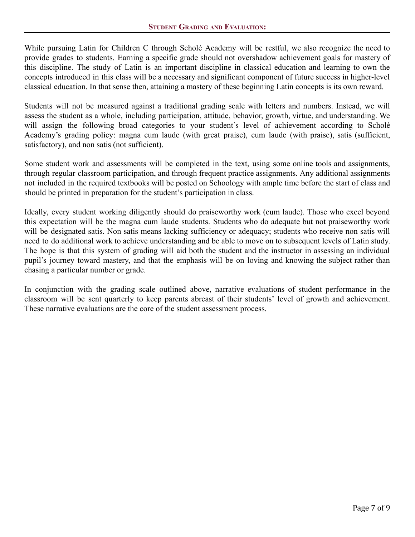While pursuing Latin for Children C through Scholé Academy will be restful, we also recognize the need to provide grades to students. Earning a specific grade should not overshadow achievement goals for mastery of this discipline. The study of Latin is an important discipline in classical education and learning to own the concepts introduced in this class will be a necessary and significant component of future success in higher-level classical education. In that sense then, attaining a mastery of these beginning Latin concepts is its own reward.

Students will not be measured against a traditional grading scale with letters and numbers. Instead, we will assess the student as a whole, including participation, attitude, behavior, growth, virtue, and understanding. We will assign the following broad categories to your student's level of achievement according to Scholé Academy's grading policy: magna cum laude (with great praise), cum laude (with praise), satis (sufficient, satisfactory), and non satis (not sufficient).

Some student work and assessments will be completed in the text, using some online tools and assignments, through regular classroom participation, and through frequent practice assignments. Any additional assignments not included in the required textbooks will be posted on Schoology with ample time before the start of class and should be printed in preparation for the student's participation in class.

Ideally, every student working diligently should do praiseworthy work (cum laude). Those who excel beyond this expectation will be the magna cum laude students. Students who do adequate but not praiseworthy work will be designated satis. Non satis means lacking sufficiency or adequacy; students who receive non satis will need to do additional work to achieve understanding and be able to move on to subsequent levels of Latin study. The hope is that this system of grading will aid both the student and the instructor in assessing an individual pupil's journey toward mastery, and that the emphasis will be on loving and knowing the subject rather than chasing a particular number or grade.

In conjunction with the grading scale outlined above, narrative evaluations of student performance in the classroom will be sent quarterly to keep parents abreast of their students' level of growth and achievement. These narrative evaluations are the core of the student assessment process.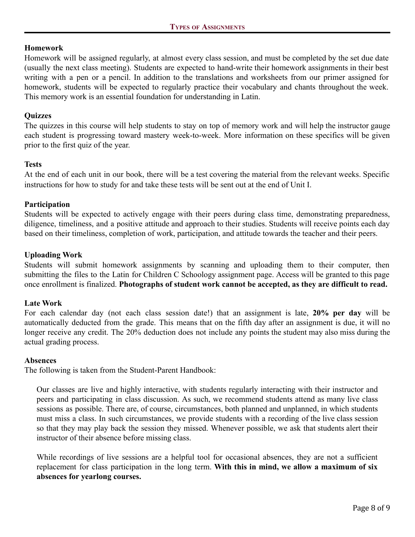## **Homework**

Homework will be assigned regularly, at almost every class session, and must be completed by the set due date (usually the next class meeting). Students are expected to hand-write their homework assignments in their best writing with a pen or a pencil. In addition to the translations and worksheets from our primer assigned for homework, students will be expected to regularly practice their vocabulary and chants throughout the week. This memory work is an essential foundation for understanding in Latin.

## **Quizzes**

The quizzes in this course will help students to stay on top of memory work and will help the instructor gauge each student is progressing toward mastery week-to-week. More information on these specifics will be given prior to the first quiz of the year.

## **Tests**

At the end of each unit in our book, there will be a test covering the material from the relevant weeks. Specific instructions for how to study for and take these tests will be sent out at the end of Unit I.

## **Participation**

Students will be expected to actively engage with their peers during class time, demonstrating preparedness, diligence, timeliness, and a positive attitude and approach to their studies. Students will receive points each day based on their timeliness, completion of work, participation, and attitude towards the teacher and their peers.

## **Uploading Work**

Students will submit homework assignments by scanning and uploading them to their computer, then submitting the files to the Latin for Children C Schoology assignment page. Access will be granted to this page once enrollment is finalized. **Photographs of student work cannot be accepted, as they are difficult to read.**

#### **Late Work**

For each calendar day (not each class session date!) that an assignment is late, **20% per day** will be automatically deducted from the grade. This means that on the fifth day after an assignment is due, it will no longer receive any credit. The 20% deduction does not include any points the student may also miss during the actual grading process.

#### **Absences**

The following is taken from the Student-Parent Handbook:

Our classes are live and highly interactive, with students regularly interacting with their instructor and peers and participating in class discussion. As such, we recommend students attend as many live class sessions as possible. There are, of course, circumstances, both planned and unplanned, in which students must miss a class. In such circumstances, we provide students with a recording of the live class session so that they may play back the session they missed. Whenever possible, we ask that students alert their instructor of their absence before missing class.

While recordings of live sessions are a helpful tool for occasional absences, they are not a sufficient replacement for class participation in the long term. **With this in mind, we allow a maximum of six absences for yearlong courses.**